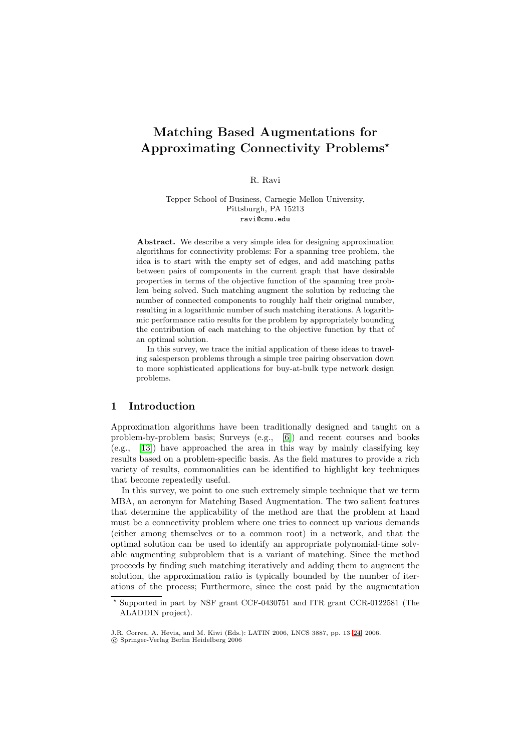# **Matching Based Augmentations for Approximating Connectivity Problems**

R. Ravi

Tepper School of Business, Carnegie Mellon University, Pittsburgh, PA 15213 ravi@cmu.edu

**Abstract.** We describe a very simple idea for designing approximation algorithms for connectivity problems: For a spanning tree problem, the idea is to start with the empty set of edges, and add matching paths between pairs of components in the current graph that have desirable properties in terms of the objective function of the spanning tree problem being solved. Such matching augment the solution by reducing the number of connected components to roughly half their original number, resulting in a logarithmic number of such matching iterations. A logarithmic performance ratio results for the problem by appropriately bounding the contribution of each matching to the objective function by that of an optimal solution.

In this survey, we trace the initial application of these ideas to traveling salesperson problems through a simple tree pairing observation down to more sophisticated applications for buy-at-bulk type network design problems.

## **1 Introduction**

Approximation algorithms have been traditionally designed and taught on a problem-by-problem basis; Surveys (e.g., [\[6\]](#page-11-0)) and recent courses and books (e.g., [\[13\]](#page-11-1)) have approached the area in this way by mainly classifying key results based on a problem-specific basis. As the field matures to provide a rich variety of results, commonalities can be identified to highlight key techniques that become repeatedly useful.

In this survey, we point to one such extremely simple technique that we term MBA, an acronym for Matching Based Augmentation. The two salient features that determine the applicability of the method are that the problem at hand must be a connectivity problem where one tries to connect up various demands (either among themselves or to a common root) in a network, and that the optimal solution can be used to identify an appropriate polynomial-time solvable augmenting subproblem that is a variant of matching. Since the method proceeds by finding such matching iteratively and adding them to augment the solution, the approximation ratio is typically bounded by the number of iterations of the process; Furthermore, since the cost paid by the augmentation

Supported in part by NSF grant CCF-0430751 and ITR grant CCR-0122581 (The ALADDIN project).

J.R. Correa, A. Hevia, and M. Kiwi (Eds.): LATIN 2006, LNCS 3887, pp. 13[–24,](#page-11-2) 2006. c Springer-Verlag Berlin Heidelberg 2006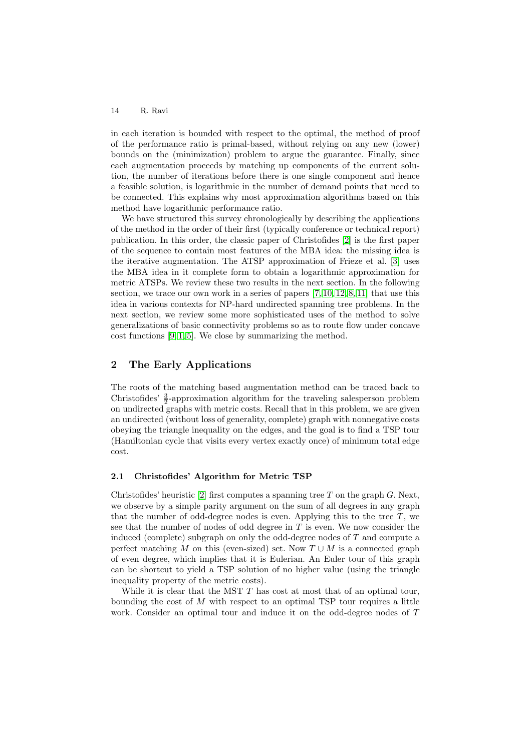in each iteration is bounded with respect to the optimal, the method of proof of the performance ratio is primal-based, without relying on any new (lower) bounds on the (minimization) problem to argue the guarantee. Finally, since each augmentation proceeds by matching up components of the current solution, the number of iterations before there is one single component and hence a feasible solution, is logarithmic in the number of demand points that need to be connected. This explains why most approximation algorithms based on this method have logarithmic performance ratio.

We have structured this survey chronologically by describing the applications of the method in the order of their first (typically conference or technical report) publication. In this order, the classic paper of Christofides [\[2\]](#page-11-3) is the first paper of the sequence to contain most features of the MBA idea: the missing idea is the iterative augmentation. The ATSP approximation of Frieze et al. [\[3\]](#page-11-4) uses the MBA idea in it complete form to obtain a logarithmic approximation for metric ATSPs. We review these two results in the next section. In the following section, we trace our own work in a series of papers [\[7,](#page-11-5) [10,](#page-11-6) [12,](#page-11-7) [8,](#page-11-8) [11\]](#page-11-9) that use this idea in various contexts for NP-hard undirected spanning tree problems. In the next section, we review some more sophisticated uses of the method to solve generalizations of basic connectivity problems so as to route flow under concave cost functions [\[9,](#page-11-10) [1,](#page-11-11) [5\]](#page-11-12). We close by summarizing the method.

# **2 The Early Applications**

The roots of the matching based augmentation method can be traced back to Christofides'  $\frac{3}{2}$ -approximation algorithm for the traveling salesperson problem on undirected graphs with metric costs. Recall that in this problem, we are given an undirected (without loss of generality, complete) graph with nonnegative costs obeying the triangle inequality on the edges, and the goal is to find a TSP tour (Hamiltonian cycle that visits every vertex exactly once) of minimum total edge cost.

#### **2.1 Christofides' Algorithm for Metric TSP**

Christofides' heuristic [\[2\]](#page-11-3) first computes a spanning tree  $T$  on the graph  $G$ . Next, we observe by a simple parity argument on the sum of all degrees in any graph that the number of odd-degree nodes is even. Applying this to the tree  $T$ , we see that the number of nodes of odd degree in  $T$  is even. We now consider the induced (complete) subgraph on only the odd-degree nodes of  $T$  and compute a perfect matching M on this (even-sized) set. Now  $T \cup M$  is a connected graph of even degree, which implies that it is Eulerian. An Euler tour of this graph can be shortcut to yield a TSP solution of no higher value (using the triangle inequality property of the metric costs).

While it is clear that the MST  $T$  has cost at most that of an optimal tour, bounding the cost of  $M$  with respect to an optimal TSP tour requires a little work. Consider an optimal tour and induce it on the odd-degree nodes of T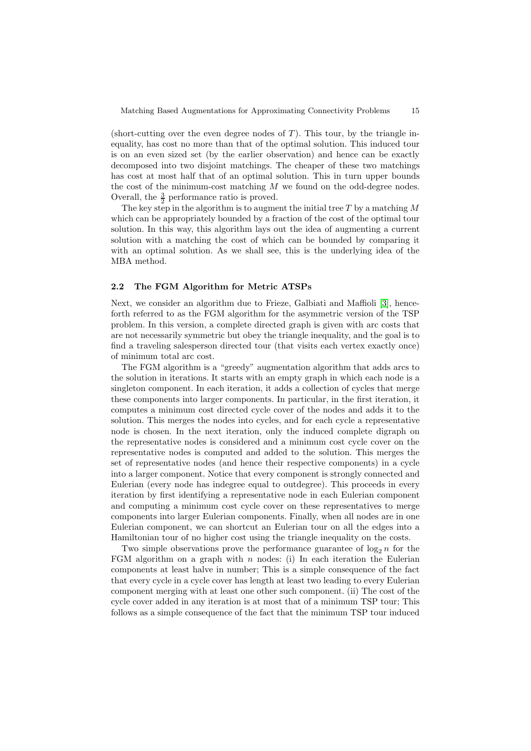(short-cutting over the even degree nodes of  $T$ ). This tour, by the triangle inequality, has cost no more than that of the optimal solution. This induced tour is on an even sized set (by the earlier observation) and hence can be exactly decomposed into two disjoint matchings. The cheaper of these two matchings has cost at most half that of an optimal solution. This in turn upper bounds the cost of the minimum-cost matching  $M$  we found on the odd-degree nodes. Overall, the  $\frac{3}{2}$  performance ratio is proved.

The key step in the algorithm is to augment the initial tree  $T$  by a matching  $M$ which can be appropriately bounded by a fraction of the cost of the optimal tour solution. In this way, this algorithm lays out the idea of augmenting a current solution with a matching the cost of which can be bounded by comparing it with an optimal solution. As we shall see, this is the underlying idea of the MBA method.

#### **2.2 The FGM Algorithm for Metric ATSPs**

Next, we consider an algorithm due to Frieze, Galbiati and Maffioli [\[3\]](#page-11-4), henceforth referred to as the FGM algorithm for the asymmetric version of the TSP problem. In this version, a complete directed graph is given with arc costs that are not necessarily symmetric but obey the triangle inequality, and the goal is to find a traveling salesperson directed tour (that visits each vertex exactly once) of minimum total arc cost.

The FGM algorithm is a "greedy" augmentation algorithm that adds arcs to the solution in iterations. It starts with an empty graph in which each node is a singleton component. In each iteration, it adds a collection of cycles that merge these components into larger components. In particular, in the first iteration, it computes a minimum cost directed cycle cover of the nodes and adds it to the solution. This merges the nodes into cycles, and for each cycle a representative node is chosen. In the next iteration, only the induced complete digraph on the representative nodes is considered and a minimum cost cycle cover on the representative nodes is computed and added to the solution. This merges the set of representative nodes (and hence their respective components) in a cycle into a larger component. Notice that every component is strongly connected and Eulerian (every node has indegree equal to outdegree). This proceeds in every iteration by first identifying a representative node in each Eulerian component and computing a minimum cost cycle cover on these representatives to merge components into larger Eulerian components. Finally, when all nodes are in one Eulerian component, we can shortcut an Eulerian tour on all the edges into a Hamiltonian tour of no higher cost using the triangle inequality on the costs.

Two simple observations prove the performance guarantee of  $\log_2 n$  for the FGM algorithm on a graph with  $n$  nodes: (i) In each iteration the Eulerian components at least halve in number; This is a simple consequence of the fact that every cycle in a cycle cover has length at least two leading to every Eulerian component merging with at least one other such component. (ii) The cost of the cycle cover added in any iteration is at most that of a minimum TSP tour; This follows as a simple consequence of the fact that the minimum TSP tour induced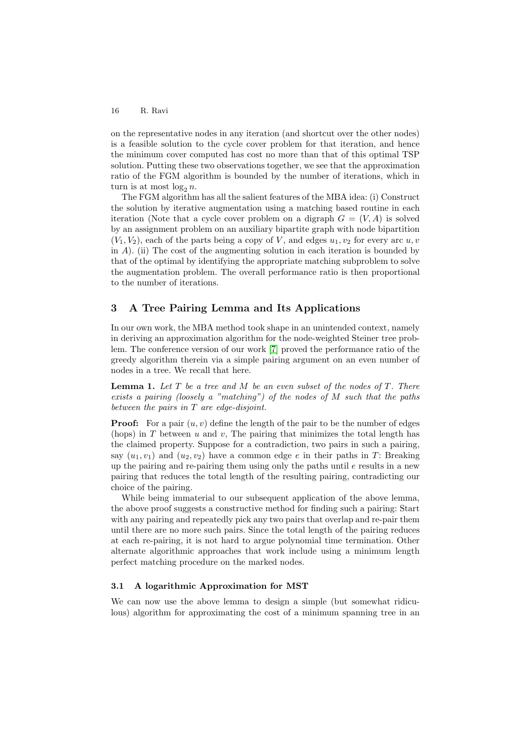on the representative nodes in any iteration (and shortcut over the other nodes) is a feasible solution to the cycle cover problem for that iteration, and hence the minimum cover computed has cost no more than that of this optimal TSP solution. Putting these two observations together, we see that the approximation ratio of the FGM algorithm is bounded by the number of iterations, which in turn is at most  $\log_2 n$ .

The FGM algorithm has all the salient features of the MBA idea: (i) Construct the solution by iterative augmentation using a matching based routine in each iteration (Note that a cycle cover problem on a digraph  $G = (V, A)$  is solved by an assignment problem on an auxiliary bipartite graph with node bipartition  $(V_1, V_2)$ , each of the parts being a copy of V, and edges  $u_1, v_2$  for every arc  $u, v$ in  $A$ ). (ii) The cost of the augmenting solution in each iteration is bounded by that of the optimal by identifying the appropriate matching subproblem to solve the augmentation problem. The overall performance ratio is then proportional to the number of iterations.

# **3 A Tree Pairing Lemma and Its Applications**

In our own work, the MBA method took shape in an unintended context, namely in deriving an approximation algorithm for the node-weighted Steiner tree problem. The conference version of our work [\[7\]](#page-11-5) proved the performance ratio of the greedy algorithm therein via a simple pairing argument on an even number of nodes in a tree. We recall that here.

**Lemma 1.** Let  $T$  be a tree and  $M$  be an even subset of the nodes of  $T$ . There exists a pairing (loosely a "matching") of the nodes of M such that the paths between the pairs in T are edge-disjoint.

**Proof:** For a pair  $(u, v)$  define the length of the pair to be the number of edges (hops) in  $T$  between  $u$  and  $v$ , The pairing that minimizes the total length has the claimed property. Suppose for a contradiction, two pairs in such a pairing, say  $(u_1, v_1)$  and  $(u_2, v_2)$  have a common edge e in their paths in T: Breaking up the pairing and re-pairing them using only the paths until  $e$  results in a new pairing that reduces the total length of the resulting pairing, contradicting our choice of the pairing.

While being immaterial to our subsequent application of the above lemma, the above proof suggests a constructive method for finding such a pairing: Start with any pairing and repeatedly pick any two pairs that overlap and re-pair them until there are no more such pairs. Since the total length of the pairing reduces at each re-pairing, it is not hard to argue polynomial time termination. Other alternate algorithmic approaches that work include using a minimum length perfect matching procedure on the marked nodes.

## **3.1 A logarithmic Approximation for MST**

We can now use the above lemma to design a simple (but somewhat ridiculous) algorithm for approximating the cost of a minimum spanning tree in an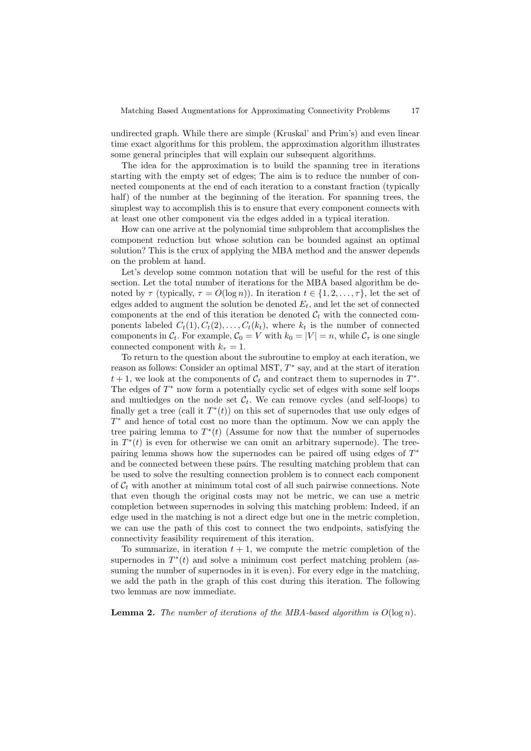undirected graph. While there are simple (Kruskal' and Prim's) and even linear time exact algorithms for this problem, the approximation algorithm illustrates some general principles that will explain our subsequent algorithms.

The idea for the approximation is to build the spanning tree in iterations starting with the empty set of edges; The aim is to reduce the number of connected components at the end of each iteration to a constant fraction (typically half) of the number at the beginning of the iteration. For spanning trees, the simplest way to accomplish this is to ensure that every component connects with at least one other component via the edges added in a typical iteration.

How can one arrive at the polynomial time subproblem that accomplishes the component reduction but whose solution can be bounded against an optimal solution? This is the crux of applying the MBA method and the answer depends on the problem at hand.

Let's develop some common notation that will be useful for the rest of this section. Let the total number of iterations for the MBA based algorithm be denoted by  $\tau$  (typically,  $\tau = O(\log n)$ ). In iteration  $t \in \{1, 2, ..., \tau\}$ , let the set of edges added to augment the solution be denoted  $E_t$ , and let the set of connected components at the end of this iteration be denoted  $\mathcal{C}_t$  with the connected components labeled  $C_t(1), C_t(2), \ldots, C_t(k_t)$ , where  $k_t$  is the number of connected components in  $\mathcal{C}_t$ . For example,  $\mathcal{C}_0 = V$  with  $k_0 = |V| = n$ , while  $\mathcal{C}_\tau$  is one single connected component with  $k<sub>\tau</sub> = 1$ .

To return to the question about the subroutine to employ at each iteration, we reason as follows: Consider an optimal MST,  $T^*$  say, and at the start of iteration  $t + 1$ , we look at the components of  $C_t$  and contract them to supernodes in  $T^*$ . The edges of  $T^*$  now form a potentially cyclic set of edges with some self loops and multiedges on the node set  $C_t$ . We can remove cycles (and self-loops) to finally get a tree (call it  $T^*(t)$ ) on this set of supernodes that use only edges of  $T^*$  and hence of total cost no more than the optimum. Now we can apply the tree pairing lemma to  $T^*(t)$  (Assume for now that the number of supernodes in  $T^*(t)$  is even for otherwise we can omit an arbitrary supernode). The treepairing lemma shows how the supernodes can be paired off using edges of  $T^*$ and be connected between these pairs. The resulting matching problem that can be used to solve the resulting connection problem is to connect each component of  $C_t$  with another at minimum total cost of all such pairwise connections. Note that even though the original costs may not be metric, we can use a metric completion between supernodes in solving this matching problem: Indeed, if an edge used in the matching is not a direct edge but one in the metric completion, we can use the path of this cost to connect the two endpoints, satisfying the connectivity feasibility requirement of this iteration.

To summarize, in iteration  $t + 1$ , we compute the metric completion of the supernodes in  $T^*(t)$  and solve a minimum cost perfect matching problem (assuming the number of supernodes in it is even). For every edge in the matching, we add the path in the graph of this cost during this iteration. The following two lemmas are now immediate.

<span id="page-4-0"></span>**Lemma 2.** The number of iterations of the MBA-based algorithm is  $O(\log n)$ .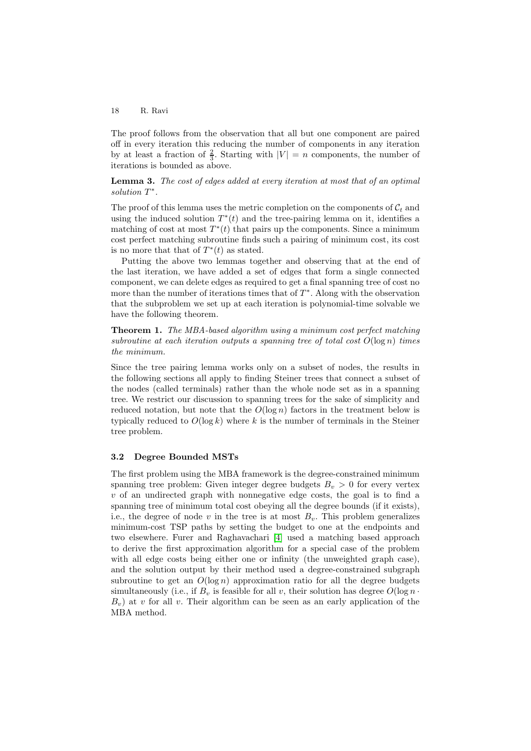The proof follows from the observation that all but one component are paired off in every iteration this reducing the number of components in any iteration by at least a fraction of  $\frac{2}{3}$ . Starting with  $|V| = n$  components, the number of iterations is bounded as above.

## <span id="page-5-0"></span>**Lemma 3.** The cost of edges added at every iteration at most that of an optimal solution  $T^*$ .

The proof of this lemma uses the metric completion on the components of  $C_t$  and using the induced solution  $T^*(t)$  and the tree-pairing lemma on it, identifies a matching of cost at most  $T^*(t)$  that pairs up the components. Since a minimum cost perfect matching subroutine finds such a pairing of minimum cost, its cost is no more that that of  $T^*(t)$  as stated.

Putting the above two lemmas together and observing that at the end of the last iteration, we have added a set of edges that form a single connected component, we can delete edges as required to get a final spanning tree of cost no more than the number of iterations times that of  $T^*$ . Along with the observation that the subproblem we set up at each iteration is polynomial-time solvable we have the following theorem.

**Theorem 1.** The MBA-based algorithm using a minimum cost perfect matching subroutine at each iteration outputs a spanning tree of total cost  $O(\log n)$  times the minimum.

Since the tree pairing lemma works only on a subset of nodes, the results in the following sections all apply to finding Steiner trees that connect a subset of the nodes (called terminals) rather than the whole node set as in a spanning tree. We restrict our discussion to spanning trees for the sake of simplicity and reduced notation, but note that the  $O(\log n)$  factors in the treatment below is typically reduced to  $O(\log k)$  where k is the number of terminals in the Steiner tree problem.

## **3.2 Degree Bounded MSTs**

The first problem using the MBA framework is the degree-constrained minimum spanning tree problem: Given integer degree budgets  $B_v > 0$  for every vertex v of an undirected graph with nonnegative edge costs, the goal is to find a spanning tree of minimum total cost obeying all the degree bounds (if it exists), i.e., the degree of node v in the tree is at most  $B_v$ . This problem generalizes minimum-cost TSP paths by setting the budget to one at the endpoints and two elsewhere. Furer and Raghavachari [\[4\]](#page-11-13) used a matching based approach to derive the first approximation algorithm for a special case of the problem with all edge costs being either one or infinity (the unweighted graph case), and the solution output by their method used a degree-constrained subgraph subroutine to get an  $O(\log n)$  approximation ratio for all the degree budgets simultaneously (i.e., if  $B_v$  is feasible for all v, their solution has degree  $O(\log n \cdot$  $B_v$ ) at v for all v. Their algorithm can be seen as an early application of the MBA method.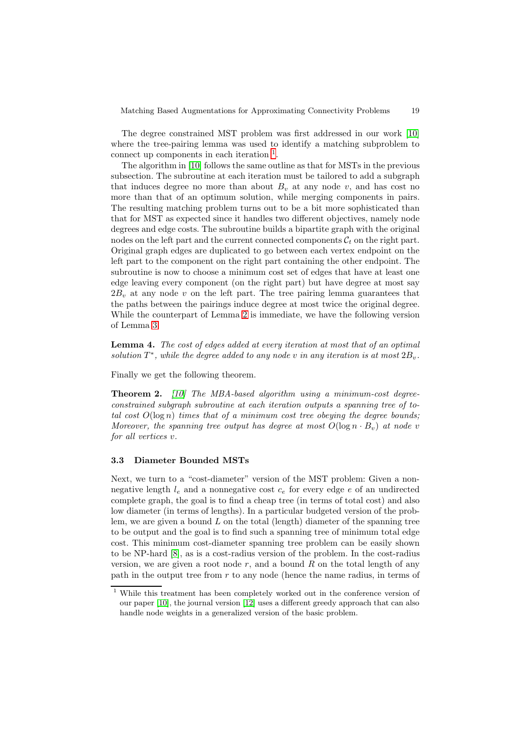The degree constrained MST problem was first addressed in our work [\[10\]](#page-11-6) where the tree-pairing lemma was used to identify a matching subproblem to connect up components in each iteration [1](#page-6-0).

The algorithm in [\[10\]](#page-11-6) follows the same outline as that for MSTs in the previous subsection. The subroutine at each iteration must be tailored to add a subgraph that induces degree no more than about  $B_v$  at any node v, and has cost no more than that of an optimum solution, while merging components in pairs. The resulting matching problem turns out to be a bit more sophisticated than that for MST as expected since it handles two different objectives, namely node degrees and edge costs. The subroutine builds a bipartite graph with the original nodes on the left part and the current connected components  $C_t$  on the right part. Original graph edges are duplicated to go between each vertex endpoint on the left part to the component on the right part containing the other endpoint. The subroutine is now to choose a minimum cost set of edges that have at least one edge leaving every component (on the right part) but have degree at most say  $2B<sub>v</sub>$  at any node v on the left part. The tree pairing lemma guarantees that the paths between the pairings induce degree at most twice the original degree. While the counterpart of Lemma [2](#page-4-0) is immediate, we have the following version of Lemma [3.](#page-5-0)

**Lemma 4.** The cost of edges added at every iteration at most that of an optimal solution  $T^*$ , while the degree added to any node v in any iteration is at most  $2B_v$ .

Finally we get the following theorem.

**Theorem 2.** [\[10\]](#page-11-6) The MBA-based algorithm using a minimum-cost degreeconstrained subgraph subroutine at each iteration outputs a spanning tree of total cost  $O(\log n)$  times that of a minimum cost tree obeying the degree bounds; Moreover, the spanning tree output has degree at most  $O(\log n \cdot B_v)$  at node v for all vertices v.

## <span id="page-6-1"></span>**3.3 Diameter Bounded MSTs**

Next, we turn to a "cost-diameter" version of the MST problem: Given a nonnegative length  $l_e$  and a nonnegative cost  $c_e$  for every edge e of an undirected complete graph, the goal is to find a cheap tree (in terms of total cost) and also low diameter (in terms of lengths). In a particular budgeted version of the problem, we are given a bound  $L$  on the total (length) diameter of the spanning tree to be output and the goal is to find such a spanning tree of minimum total edge cost. This minimum cost-diameter spanning tree problem can be easily shown to be NP-hard [\[8\]](#page-11-8), as is a cost-radius version of the problem. In the cost-radius version, we are given a root node  $r$ , and a bound  $R$  on the total length of any path in the output tree from  $r$  to any node (hence the name radius, in terms of

<span id="page-6-0"></span>While this treatment has been completely worked out in the conference version of our paper [\[10\]](#page-11-6), the journal version [\[12\]](#page-11-7) uses a different greedy approach that can also handle node weights in a generalized version of the basic problem.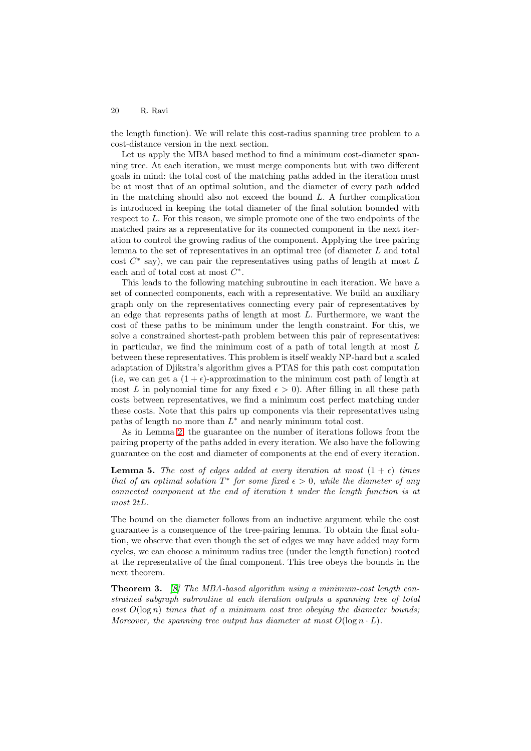the length function). We will relate this cost-radius spanning tree problem to a cost-distance version in the next section.

Let us apply the MBA based method to find a minimum cost-diameter spanning tree. At each iteration, we must merge components but with two different goals in mind: the total cost of the matching paths added in the iteration must be at most that of an optimal solution, and the diameter of every path added in the matching should also not exceed the bound  $L$ . A further complication is introduced in keeping the total diameter of the final solution bounded with respect to L. For this reason, we simple promote one of the two endpoints of the matched pairs as a representative for its connected component in the next iteration to control the growing radius of the component. Applying the tree pairing lemma to the set of representatives in an optimal tree (of diameter  $L$  and total cost  $C^*$  say), we can pair the representatives using paths of length at most L each and of total cost at most  $C^*$ .

This leads to the following matching subroutine in each iteration. We have a set of connected components, each with a representative. We build an auxiliary graph only on the representatives connecting every pair of representatives by an edge that represents paths of length at most  $L$ . Furthermore, we want the cost of these paths to be minimum under the length constraint. For this, we solve a constrained shortest-path problem between this pair of representatives: in particular, we find the minimum cost of a path of total length at most  $L$ between these representatives. This problem is itself weakly NP-hard but a scaled adaptation of Djikstra's algorithm gives a PTAS for this path cost computation (i.e, we can get a  $(1 + \epsilon)$ -approximation to the minimum cost path of length at most L in polynomial time for any fixed  $\epsilon > 0$ ). After filling in all these path costs between representatives, we find a minimum cost perfect matching under these costs. Note that this pairs up components via their representatives using paths of length no more than  $L^*$  and nearly minimum total cost.

As in Lemma [2,](#page-4-0) the guarantee on the number of iterations follows from the pairing property of the paths added in every iteration. We also have the following guarantee on the cost and diameter of components at the end of every iteration.

**Lemma 5.** The cost of edges added at every iteration at most  $(1 + \epsilon)$  times that of an optimal solution  $T^*$  for some fixed  $\epsilon > 0$ , while the diameter of any connected component at the end of iteration t under the length function is at most 2tL.

The bound on the diameter follows from an inductive argument while the cost guarantee is a consequence of the tree-pairing lemma. To obtain the final solution, we observe that even though the set of edges we may have added may form cycles, we can choose a minimum radius tree (under the length function) rooted at the representative of the final component. This tree obeys the bounds in the next theorem.

**Theorem 3.** [\[8\]](#page-11-8) The MBA-based algorithm using a minimum-cost length constrained subgraph subroutine at each iteration outputs a spanning tree of total  $cost\ O(\log n)$  times that of a minimum cost tree obeying the diameter bounds; Moreover, the spanning tree output has diameter at most  $O(\log n \cdot L)$ .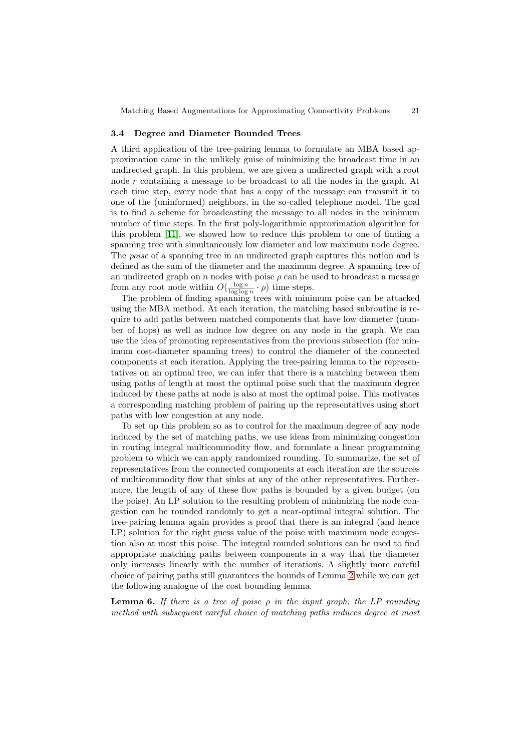## **3.4 Degree and Diameter Bounded Trees**

A third application of the tree-pairing lemma to formulate an MBA based approximation came in the unlikely guise of minimizing the broadcast time in an undirected graph. In this problem, we are given a undirected graph with a root node r containing a message to be broadcast to all the nodes in the graph. At each time step, every node that has a copy of the message can transmit it to one of the (uninformed) neighbors, in the so-called telephone model. The goal is to find a scheme for broadcasting the message to all nodes in the minimum number of time steps. In the first poly-logarithmic approximation algorithm for this problem [\[11\]](#page-11-9), we showed how to reduce this problem to one of finding a spanning tree with simultaneously low diameter and low maximum node degree. The *poise* of a spanning tree in an undirected graph captures this notion and is defined as the sum of the diameter and the maximum degree. A spanning tree of an undirected graph on  $n$  nodes with poise  $\rho$  can be used to broadcast a message from any root node within  $O(\frac{\log n}{\log \log n} \cdot \rho)$  time steps.

The problem of finding spanning trees with minimum poise can be attacked using the MBA method. At each iteration, the matching based subroutine is require to add paths between matched components that have low diameter (number of hops) as well as induce low degree on any node in the graph. We can use the idea of promoting representatives from the previous subsection (for minimum cost-diameter spanning trees) to control the diameter of the connected components at each iteration. Applying the tree-pairing lemma to the representatives on an optimal tree, we can infer that there is a matching between them using paths of length at most the optimal poise such that the maximum degree induced by these paths at node is also at most the optimal poise. This motivates a corresponding matching problem of pairing up the representatives using short paths with low congestion at any node.

To set up this problem so as to control for the maximum degree of any node induced by the set of matching paths, we use ideas from minimizing congestion in routing integral multicommodity flow, and formulate a linear programming problem to which we can apply randomized rounding. To summarize, the set of representatives from the connected components at each iteration are the sources of multicommodity flow that sinks at any of the other representatives. Furthermore, the length of any of these flow paths is bounded by a given budget (on the poise). An LP solution to the resulting problem of minimizing the node congestion can be rounded randomly to get a near-optimal integral solution. The tree-pairing lemma again provides a proof that there is an integral (and hence LP) solution for the right guess value of the poise with maximum node congestion also at most this poise. The integral rounded solutions can be used to find appropriate matching paths between components in a way that the diameter only increases linearly with the number of iterations. A slightly more careful choice of pairing paths still guarantees the bounds of Lemma [2](#page-4-0) while we can get the following analogue of the cost bounding lemma.

**Lemma 6.** If there is a tree of poise  $\rho$  in the input graph, the LP rounding method with subsequent careful choice of matching paths induces degree at most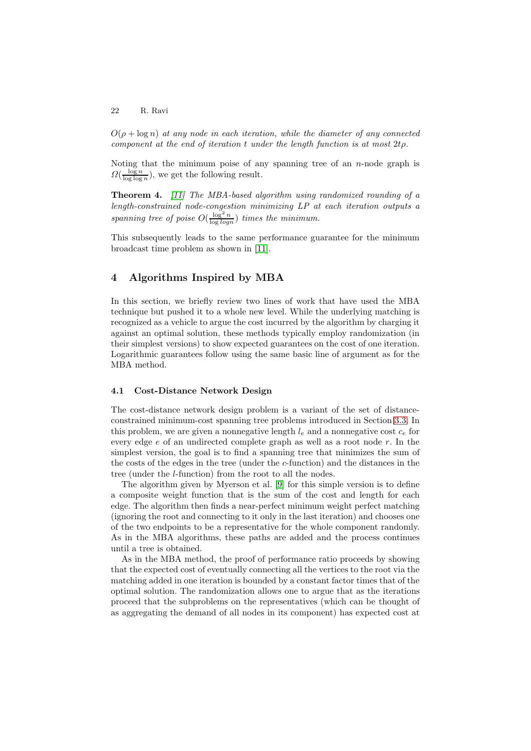$O(\rho + \log n)$  at any node in each iteration, while the diameter of any connected component at the end of iteration t under the length function is at most  $2t\rho$ .

Noting that the minimum poise of any spanning tree of an  $n$ -node graph is  $\Omega(\frac{\log n}{\log \log n})$ , we get the following result.

**Theorem 4.** [\[11\]](#page-11-9) The MBA-based algorithm using randomized rounding of a length-constrained node-congestion minimizing LP at each iteration outputs a spanning tree of poise  $O(\frac{\log^2 n}{\log \log n})$  times the minimum.

This subsequently leads to the same performance guarantee for the minimum broadcast time problem as shown in [\[11\]](#page-11-9).

# **4 Algorithms Inspired by MBA**

In this section, we briefly review two lines of work that have used the MBA technique but pushed it to a whole new level. While the underlying matching is recognized as a vehicle to argue the cost incurred by the algorithm by charging it against an optimal solution, these methods typically employ randomization (in their simplest versions) to show expected guarantees on the cost of one iteration. Logarithmic guarantees follow using the same basic line of argument as for the MBA method.

## **4.1 Cost-Distance Network Design**

The cost-distance network design problem is a variant of the set of distanceconstrained minimum-cost spanning tree problems introduced in Section [3.3.](#page-6-1) In this problem, we are given a nonnegative length  $l_e$  and a nonnegative cost  $c_e$  for every edge e of an undirected complete graph as well as a root node r. In the simplest version, the goal is to find a spanning tree that minimizes the sum of the costs of the edges in the tree (under the c-function) and the distances in the tree (under the l-function) from the root to all the nodes.

The algorithm given by Myerson et al. [\[9\]](#page-11-10) for this simple version is to define a composite weight function that is the sum of the cost and length for each edge. The algorithm then finds a near-perfect minimum weight perfect matching (ignoring the root and connecting to it only in the last iteration) and chooses one of the two endpoints to be a representative for the whole component randomly. As in the MBA algorithms, these paths are added and the process continues until a tree is obtained.

As in the MBA method, the proof of performance ratio proceeds by showing that the expected cost of eventually connecting all the vertices to the root via the matching added in one iteration is bounded by a constant factor times that of the optimal solution. The randomization allows one to argue that as the iterations proceed that the subproblems on the representatives (which can be thought of as aggregating the demand of all nodes in its component) has expected cost at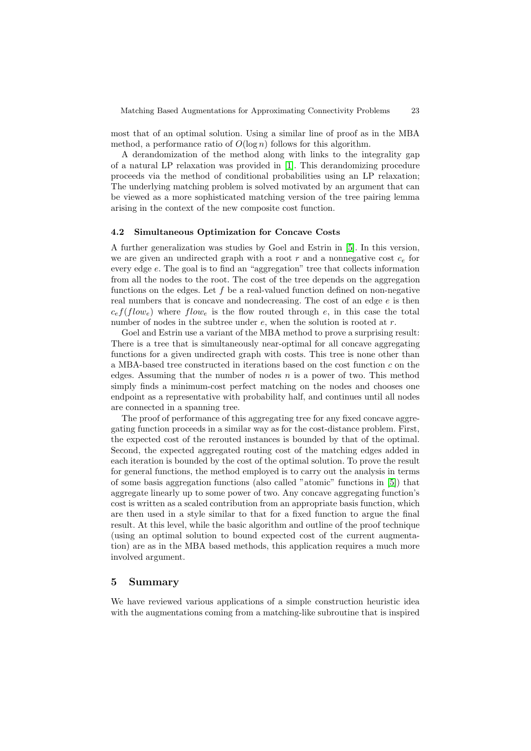most that of an optimal solution. Using a similar line of proof as in the MBA method, a performance ratio of  $O(\log n)$  follows for this algorithm.

A derandomization of the method along with links to the integrality gap of a natural LP relaxation was provided in [\[1\]](#page-11-11). This derandomizing procedure proceeds via the method of conditional probabilities using an LP relaxation; The underlying matching problem is solved motivated by an argument that can be viewed as a more sophisticated matching version of the tree pairing lemma arising in the context of the new composite cost function.

### **4.2 Simultaneous Optimization for Concave Costs**

A further generalization was studies by Goel and Estrin in [\[5\]](#page-11-12). In this version, we are given an undirected graph with a root  $r$  and a nonnegative cost  $c_e$  for every edge e. The goal is to find an "aggregation" tree that collects information from all the nodes to the root. The cost of the tree depends on the aggregation functions on the edges. Let  $f$  be a real-valued function defined on non-negative real numbers that is concave and nondecreasing. The cost of an edge  $e$  is then  $c_e f(flow_e)$  where  $flow_e$  is the flow routed through e, in this case the total number of nodes in the subtree under  $e$ , when the solution is rooted at  $r$ .

Goel and Estrin use a variant of the MBA method to prove a surprising result: There is a tree that is simultaneously near-optimal for all concave aggregating functions for a given undirected graph with costs. This tree is none other than a MBA-based tree constructed in iterations based on the cost function c on the edges. Assuming that the number of nodes  $n$  is a power of two. This method simply finds a minimum-cost perfect matching on the nodes and chooses one endpoint as a representative with probability half, and continues until all nodes are connected in a spanning tree.

The proof of performance of this aggregating tree for any fixed concave aggregating function proceeds in a similar way as for the cost-distance problem. First, the expected cost of the rerouted instances is bounded by that of the optimal. Second, the expected aggregated routing cost of the matching edges added in each iteration is bounded by the cost of the optimal solution. To prove the result for general functions, the method employed is to carry out the analysis in terms of some basis aggregation functions (also called "atomic" functions in [\[5\]](#page-11-12)) that aggregate linearly up to some power of two. Any concave aggregating function's cost is written as a scaled contribution from an appropriate basis function, which are then used in a style similar to that for a fixed function to argue the final result. At this level, while the basic algorithm and outline of the proof technique (using an optimal solution to bound expected cost of the current augmentation) are as in the MBA based methods, this application requires a much more involved argument.

## **5 Summary**

We have reviewed various applications of a simple construction heuristic idea with the augmentations coming from a matching-like subroutine that is inspired